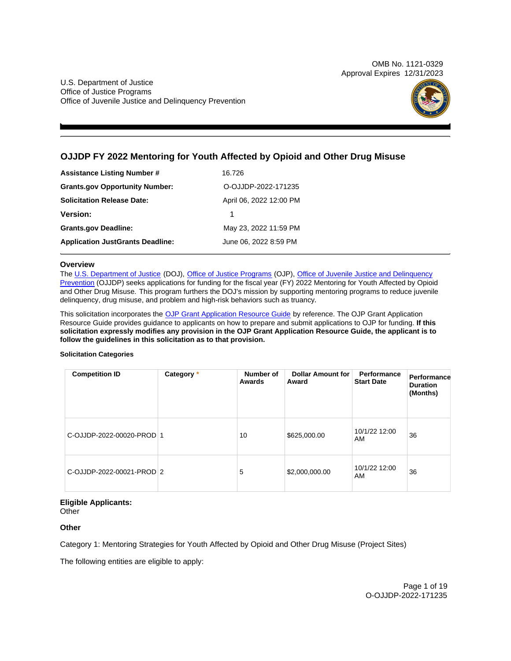OMB No. 1121-0329 Approval Expires 12/31/2023

U.S. Department of Justice Office of Justice Programs Office of Juvenile Justice and Delinquency Prevention



# **OJJDP FY 2022 Mentoring for Youth Affected by Opioid and Other Drug Misuse**

| <b>Assistance Listing Number #</b>      | 16.726                  |
|-----------------------------------------|-------------------------|
| <b>Grants.gov Opportunity Number:</b>   | O-OJJDP-2022-171235     |
| <b>Solicitation Release Date:</b>       | April 06, 2022 12:00 PM |
| <b>Version:</b>                         | 1                       |
| <b>Grants.gov Deadline:</b>             | May 23, 2022 11:59 PM   |
| <b>Application JustGrants Deadline:</b> | June 06, 2022 8:59 PM   |

# **Overview**

The [U.S. Department of Justice](https://www.usdoj.gov/) (DOJ), [Office of Justice Programs](https://www.ojp.gov/) (OJP), Office of Juvenile Justice and Delinquency [Prevention](https://ojjdp.ojp.gov/) (OJJDP) seeks applications for funding for the fiscal year (FY) 2022 Mentoring for Youth Affected by Opioid and Other Drug Misuse. This program furthers the DOJ's mission by supporting mentoring programs to reduce juvenile delinquency, drug misuse, and problem and high-risk behaviors such as truancy.

This solicitation incorporates the [OJP Grant Application Resource Guide](https://www.ojp.gov/funding/Apply/Resources/Grant-App-Resource-Guide.htm) by reference. The OJP Grant Application Resource Guide provides guidance to applicants on how to prepare and submit applications to OJP for funding. **If this solicitation expressly modifies any provision in the OJP Grant Application Resource Guide, the applicant is to follow the guidelines in this solicitation as to that provision.** 

# **Solicitation Categories**

| <b>Competition ID</b>     | Category * | Number of<br>Awards | <b>Dollar Amount for</b><br>Award | Performance<br><b>Start Date</b> | Performance<br><b>Duration</b><br>(Months) |
|---------------------------|------------|---------------------|-----------------------------------|----------------------------------|--------------------------------------------|
| C-OJJDP-2022-00020-PROD 1 |            | 10                  | \$625,000.00                      | 10/1/22 12:00<br>AM              | 36                                         |
| C-OJJDP-2022-00021-PROD 2 |            | 5                   | \$2,000,000.00                    | 10/1/22 12:00<br>AM              | 36                                         |

# **Eligible Applicants:**

**Other** 

# **Other**

Category 1: Mentoring Strategies for Youth Affected by Opioid and Other Drug Misuse (Project Sites)

The following entities are eligible to apply: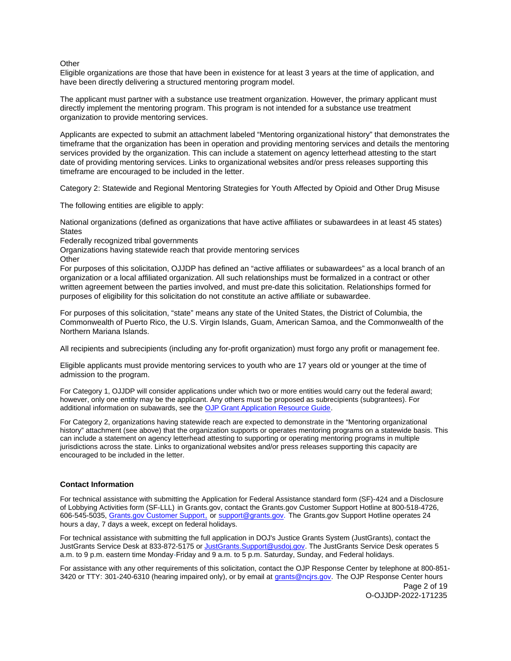# <span id="page-1-0"></span>**Other**

Eligible organizations are those that have been in existence for at least 3 years at the time of application, and have been directly delivering a structured mentoring program model.

The applicant must partner with a substance use treatment organization. However, the primary applicant must directly implement the mentoring program. This program is not intended for a substance use treatment organization to provide mentoring services.

Applicants are expected to submit an attachment labeled "Mentoring organizational history" that demonstrates the timeframe that the organization has been in operation and providing mentoring services and details the mentoring services provided by the organization. This can include a statement on agency letterhead attesting to the start date of providing mentoring services. Links to organizational websites and/or press releases supporting this timeframe are encouraged to be included in the letter.

Category 2: Statewide and Regional Mentoring Strategies for Youth Affected by Opioid and Other Drug Misuse

The following entities are eligible to apply:

National organizations (defined as organizations that have active affiliates or subawardees in at least 45 states) **States** 

Federally recognized tribal governments

Organizations having statewide reach that provide mentoring services **Other** 

For purposes of this solicitation, OJJDP has defined an "active affiliates or subawardees" as a local branch of an organization or a local affiliated organization. All such relationships must be formalized in a contract or other written agreement between the parties involved, and must pre-date this solicitation. Relationships formed for purposes of eligibility for this solicitation do not constitute an active affiliate or subawardee.

For purposes of this solicitation, "state" means any state of the United States, the District of Columbia, the Commonwealth of Puerto Rico, the U.S. Virgin Islands, Guam, American Samoa, and the Commonwealth of the Northern Mariana Islands.

All recipients and subrecipients (including any for-profit organization) must forgo any profit or management fee.

Eligible applicants must provide mentoring services to youth who are 17 years old or younger at the time of admission to the program.

For Category 1, OJJDP will consider applications under which two or more entities would carry out the federal award; however, only one entity may be the applicant. Any others must be proposed as subrecipients (subgrantees). For additional information on subawards, see the [OJP Grant Application Resource Guide.](https://www.ojp.gov/funding/Apply/Resources/Grant-App-Resource-Guide.htm)

For Category 2, organizations having statewide reach are expected to demonstrate in the "Mentoring organizational history" attachment (see above) that the organization supports or operates mentoring programs on a statewide basis. This can include a statement on agency letterhead attesting to supporting or operating mentoring programs in multiple jurisdictions across the state. Links to organizational websites and/or press releases supporting this capacity are encouraged to be included in the letter.

# **Contact Information**

For technical assistance with submitting the Application for Federal Assistance standard form (SF)-424 and a Disclosure of Lobbying Activities form (SF-LLL) in [Grants.gov](https://Grants.gov), contact the [Grants.gov](https://Grants.gov) Customer Support Hotline at 800-518-4726, 606-545-5035, [Grants.gov Customer Support,](https://www.grants.gov/web/grants/support.html) or [support@grants.gov.](mailto:support@grants.gov) The [Grants.gov](https://Grants.gov) Support Hotline operates 24 hours a day, 7 days a week, except on federal holidays.

For technical assistance with submitting the full application in DOJ's Justice Grants System (JustGrants), contact the JustGrants Service Desk at 833-872-5175 or [JustGrants.Support@usdoj.gov.](mailto:JustGrants.Support@usdoj.gov) The JustGrants Service Desk operates 5 a.m. to 9 p.m. eastern time Monday-Friday and 9 a.m. to 5 p.m. Saturday, Sunday, and Federal holidays.

For assistance with any other requirements of this solicitation, contact the OJP Response Center by telephone at 800-851- 3420 or TTY: 301-240-6310 (hearing impaired only), or by email at [grants@ncjrs.gov.](mailto:grants@ncjrs.gov) The OJP Response Center hours

Page 2 of 19 O-OJJDP-2022-171235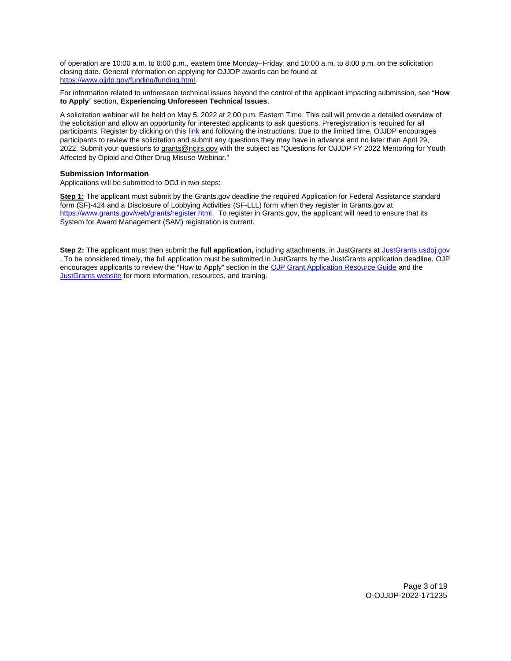of operation are 10:00 a.m. to 6:00 p.m., eastern time Monday–Friday, and 10:00 a.m. to 8:00 p.m. on the solicitation closing date. General information on applying for OJJDP awards can be found at [https://www.ojjdp.gov/funding/funding.html.](https://www.ojjdp.gov/funding/funding.html)

For information related to unforeseen technical issues beyond the control of the applicant impacting submission, see "**How to Apply**" section, **Experiencing Unforeseen Technical Issues**.

A solicitation webinar will be held on May 5, 2022 at 2:00 p.m. Eastern Time. This call will provide a detailed overview of the solicitation and allow an opportunity for interested applicants to ask questions. Preregistration is required for all participants. Register by clicking on this [link](https://ojp.webex.com/mw3300/mywebex/default.do?nomenu=true&siteurl=ojp&service=6&rnd=0.6751641802438637&main_url=https%3A%2F%2Fojp.webex.com%2Fec3300%2Feventcenter%2Fevent%2FeventAction.do%3FtheAction%3Ddetail%26%26%26EMK%3D4832534b00000005d492f3cd4d086ee5837034faae5a657f7cc7cbe0a62b73db14988b72be9e8595%26siteurl%3Dojp%26confViewID%3D223400300428405796%26encryptTicket%3DSDJTSwAAAAVZz-xVsBoBs-K-84DbzKFvcBmeqRbqpUcc7TbMtG2K1w2%26) and following the instructions. Due to the limited time, OJJDP encourages participants to review the solicitation and submit any questions they may have in advance and no later than April 29, 2022. Submit your questions to [grants@ncjrs.gov](mailto:grants@ncjrs.gov) with the subject as "Questions for OJJDP FY 2022 Mentoring for Youth Affected by Opioid and Other Drug Misuse Webinar."

# **Submission Information**

Applications will be submitted to DOJ in two steps:

**Step 1:** The applicant must submit by the [Grants.gov](https://Grants.gov) deadline the required Application for Federal Assistance standard form (SF)-424 and a Disclosure of Lobbying Activities (SF-LLL) form when they register in [Grants.gov](https://Grants.gov) at [https://www.grants.gov/web/grants/register.html.](https://www.grants.gov/web/grants/register.html) To register in [Grants.gov,](https://Grants.gov) the applicant will need to ensure that its System for Award Management (SAM) registration is current.

**Step 2:** The applicant must then submit the **full application,** including attachments, in JustGrants at [JustGrants.usdoj.gov](https://justicegrants.usdoj.gov/)  . To be considered timely, the full application must be submitted in JustGrants by the JustGrants application deadline. OJP encourages applicants to review the "How to Apply" section in the [OJP Grant Application Resource Guide](https://www.ojp.gov/funding/apply/ojp-grant-application-resource-guide#apply) and the [JustGrants website](https://justicegrants.usdoj.gov/news) for more information, resources, and training.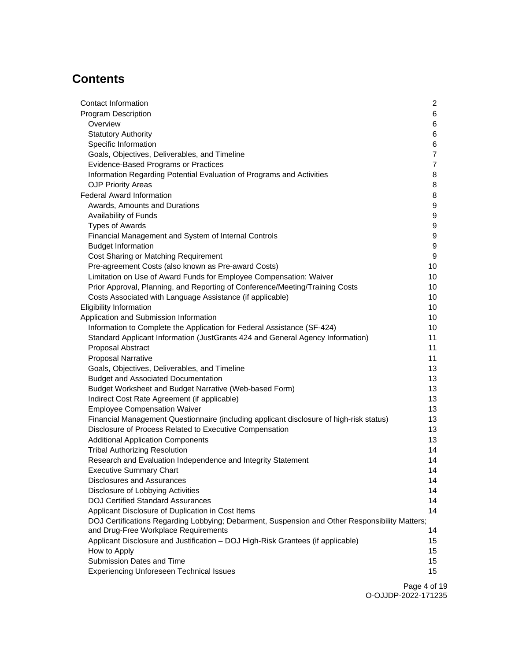# **Contents**

| Contact Information                                                                            | $\mathbf{2}$   |
|------------------------------------------------------------------------------------------------|----------------|
| <b>Program Description</b>                                                                     | 6              |
| Overview                                                                                       | 6              |
| <b>Statutory Authority</b>                                                                     | 6              |
| Specific Information                                                                           | 6              |
| Goals, Objectives, Deliverables, and Timeline                                                  | $\overline{7}$ |
| Evidence-Based Programs or Practices                                                           | 7              |
| Information Regarding Potential Evaluation of Programs and Activities                          | 8              |
| <b>OJP Priority Areas</b>                                                                      | 8              |
| <b>Federal Award Information</b>                                                               | 8              |
| Awards, Amounts and Durations                                                                  | 9              |
| Availability of Funds                                                                          | 9              |
| <b>Types of Awards</b>                                                                         | 9              |
| Financial Management and System of Internal Controls                                           | 9              |
| <b>Budget Information</b>                                                                      | 9              |
| Cost Sharing or Matching Requirement                                                           | 9              |
| Pre-agreement Costs (also known as Pre-award Costs)                                            | 10             |
| Limitation on Use of Award Funds for Employee Compensation: Waiver                             | 10             |
| Prior Approval, Planning, and Reporting of Conference/Meeting/Training Costs                   | 10             |
| Costs Associated with Language Assistance (if applicable)                                      | 10             |
| <b>Eligibility Information</b>                                                                 | 10             |
| Application and Submission Information                                                         | 10             |
| Information to Complete the Application for Federal Assistance (SF-424)                        | 10             |
| Standard Applicant Information (JustGrants 424 and General Agency Information)                 | 11             |
| Proposal Abstract                                                                              | 11             |
| <b>Proposal Narrative</b>                                                                      | 11             |
| Goals, Objectives, Deliverables, and Timeline                                                  | 13             |
| <b>Budget and Associated Documentation</b>                                                     | 13             |
| Budget Worksheet and Budget Narrative (Web-based Form)                                         | 13             |
| Indirect Cost Rate Agreement (if applicable)                                                   | 13             |
| <b>Employee Compensation Waiver</b>                                                            | 13             |
| Financial Management Questionnaire (including applicant disclosure of high-risk status)        | 13             |
| Disclosure of Process Related to Executive Compensation                                        | 13             |
| <b>Additional Application Components</b>                                                       | 13             |
| <b>Tribal Authorizing Resolution</b>                                                           | 14             |
| Research and Evaluation Independence and Integrity Statement                                   | 14             |
| <b>Executive Summary Chart</b>                                                                 | 14             |
| <b>Disclosures and Assurances</b>                                                              | 14             |
| Disclosure of Lobbying Activities                                                              | 14             |
| <b>DOJ Certified Standard Assurances</b>                                                       | 14             |
| Applicant Disclosure of Duplication in Cost Items                                              | 14             |
| DOJ Certifications Regarding Lobbying; Debarment, Suspension and Other Responsibility Matters; |                |
| and Drug-Free Workplace Requirements                                                           | 14             |
| Applicant Disclosure and Justification - DOJ High-Risk Grantees (if applicable)                | 15             |
| How to Apply                                                                                   | 15             |
| Submission Dates and Time                                                                      | 15             |
| <b>Experiencing Unforeseen Technical Issues</b>                                                | 15             |
|                                                                                                |                |

Page 4 of 19 O-OJJDP-2022-171235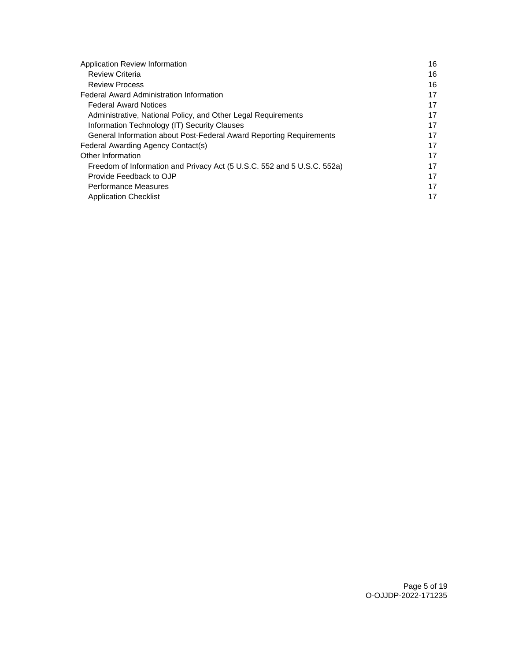| Application Review Information                                          | 16 |
|-------------------------------------------------------------------------|----|
| <b>Review Criteria</b>                                                  | 16 |
| <b>Review Process</b>                                                   | 16 |
| <b>Federal Award Administration Information</b>                         | 17 |
| <b>Federal Award Notices</b>                                            | 17 |
| Administrative, National Policy, and Other Legal Requirements           | 17 |
| Information Technology (IT) Security Clauses                            | 17 |
| General Information about Post-Federal Award Reporting Requirements     | 17 |
| Federal Awarding Agency Contact(s)                                      | 17 |
| Other Information                                                       | 17 |
| Freedom of Information and Privacy Act (5 U.S.C. 552 and 5 U.S.C. 552a) | 17 |
| Provide Feedback to OJP                                                 | 17 |
| <b>Performance Measures</b>                                             | 17 |
| <b>Application Checklist</b>                                            | 17 |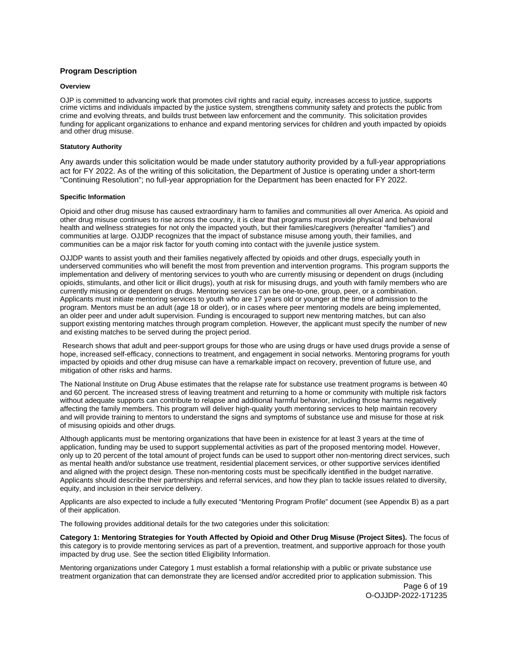# <span id="page-5-0"></span>**Program Description**

### **Overview**

OJP is committed to advancing work that promotes civil rights and racial equity, increases access to justice, supports crime victims and individuals impacted by the justice system, strengthens community safety and protects the public from crime and evolving threats, and builds trust between law enforcement and the community. This solicitation provides funding for applicant organizations to enhance and expand mentoring services for children and youth impacted by opioids and other drug misuse.

# **Statutory Authority**

Any awards under this solicitation would be made under statutory authority provided by a full-year appropriations act for FY 2022. As of the writing of this solicitation, the Department of Justice is operating under a short-term "Continuing Resolution"; no full-year appropriation for the Department has been enacted for FY 2022.

#### **Specific Information**

Opioid and other drug misuse has caused extraordinary harm to families and communities all over America. As opioid and other drug misuse continues to rise across the country, it is clear that programs must provide physical and behavioral health and wellness strategies for not only the impacted youth, but their families/caregivers (hereafter "families") and communities at large. OJJDP recognizes that the impact of substance misuse among youth, their families, and communities can be a major risk factor for youth coming into contact with the juvenile justice system.

OJJDP wants to assist youth and their families negatively affected by opioids and other drugs, especially youth in underserved communities who will benefit the most from prevention and intervention programs. This program supports the implementation and delivery of mentoring services to youth who are currently misusing or dependent on drugs (including opioids, stimulants, and other licit or illicit drugs), youth at risk for misusing drugs, and youth with family members who are currently misusing or dependent on drugs. Mentoring services can be one-to-one, group, peer, or a combination. Applicants must initiate mentoring services to youth who are 17 years old or younger at the time of admission to the program. Mentors must be an adult (age 18 or older), or in cases where peer mentoring models are being implemented, an older peer and under adult supervision. Funding is encouraged to support new mentoring matches, but can also support existing mentoring matches through program completion. However, the applicant must specify the number of new and existing matches to be served during the project period.

Research shows that adult and peer-support groups for those who are using drugs or have used drugs provide a sense of hope, increased self-efficacy, connections to treatment, and engagement in social networks. Mentoring programs for youth impacted by opioids and other drug misuse can have a remarkable impact on recovery, prevention of future use, and mitigation of other risks and harms.

The National Institute on Drug Abuse estimates that the relapse rate for substance use treatment programs is between 40 and 60 percent. The increased stress of leaving treatment and returning to a home or community with multiple risk factors without adequate supports can contribute to relapse and additional harmful behavior, including those harms negatively affecting the family members. This program will deliver high-quality youth mentoring services to help maintain recovery and will provide training to mentors to understand the signs and symptoms of substance use and misuse for those at risk of misusing opioids and other drugs.

Although applicants must be mentoring organizations that have been in existence for at least 3 years at the time of application, funding may be used to support supplemental activities as part of the proposed mentoring model. However, only up to 20 percent of the total amount of project funds can be used to support other non-mentoring direct services, such as mental health and/or substance use treatment, residential placement services, or other supportive services identified and aligned with the project design. These non-mentoring costs must be specifically identified in the budget narrative. Applicants should describe their partnerships and referral services, and how they plan to tackle issues related to diversity, equity, and inclusion in their service delivery.

Applicants are also expected to include a fully executed "Mentoring Program Profile" document (see Appendix B) as a part of their application.

The following provides additional details for the two categories under this solicitation:

**Category 1: Mentoring Strategies for Youth Affected by Opioid and Other Drug Misuse (Project Sites).** The focus of this category is to provide mentoring services as part of a prevention, treatment, and supportive approach for those youth impacted by drug use. See the section titled Eligibility Information.

Mentoring organizations under Category 1 must establish a formal relationship with a public or private substance use treatment organization that can demonstrate they are licensed and/or accredited prior to application submission. This

Page 6 of 19 O-OJJDP-2022-171235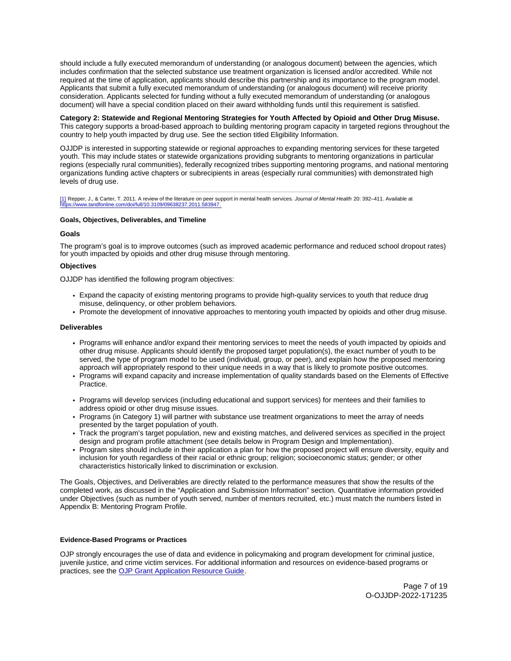<span id="page-6-0"></span>should include a fully executed memorandum of understanding (or analogous document) between the agencies, which includes confirmation that the selected substance use treatment organization is licensed and/or accredited. While not required at the time of application, applicants should describe this partnership and its importance to the program model. Applicants that submit a fully executed memorandum of understanding (or analogous document) will receive priority consideration. Applicants selected for funding without a fully executed memorandum of understanding (or analogous document) will have a special condition placed on their award withholding funds until this requirement is satisfied.

# **Category 2: Statewide and Regional Mentoring Strategies for Youth Affected by Opioid and Other Drug Misuse.**

This category supports a broad-based approach to building mentoring program capacity in targeted regions throughout the country to help youth impacted by drug use. See the section titled Eligibility Information.

OJJDP is interested in supporting statewide or regional approaches to expanding mentoring services for these targeted youth. This may include states or statewide organizations providing subgrants to mentoring organizations in particular regions (especially rural communities), federally recognized tribes supporting mentoring programs, and national mentoring organizations funding active chapters or subrecipients in areas (especially rural communities) with demonstrated high levels of drug use.

[\[1\]](#_ftnref1) Repper, J., & Carter, T. 2011. A review of the literature on peer support in mental health services. *Journal of Mental Health* 20: 392–411. Available at<br>https://www.tandfonline.com/doi/full/10.3109/09638237.2011.58394

# **Goals, Objectives, Deliverables, and Timeline**

# **Goals**

The program's goal is to improve outcomes (such as improved academic performance and reduced school dropout rates) for youth impacted by opioids and other drug misuse through mentoring.

# **Objectives**

OJJDP has identified the following program objectives:

- Expand the capacity of existing mentoring programs to provide high-quality services to youth that reduce drug misuse, delinquency, or other problem behaviors.
- Promote the development of innovative approaches to mentoring youth impacted by opioids and other drug misuse.

#### **Deliverables**

- Programs will enhance and/or expand their mentoring services to meet the needs of youth impacted by opioids and other drug misuse. Applicants should identify the proposed target population(s), the exact number of youth to be served, the type of program model to be used (individual, group, or peer), and explain how the proposed mentoring approach will appropriately respond to their unique needs in a way that is likely to promote positive outcomes.
- Programs will expand capacity and increase implementation of quality standards based on the Elements of Effective Practice.
- Programs will develop services (including educational and support services) for mentees and their families to address opioid or other drug misuse issues.
- Programs (in Category 1) will partner with substance use treatment organizations to meet the array of needs presented by the target population of youth.
- Track the program's target population, new and existing matches, and delivered services as specified in the project design and program profile attachment (see details below in Program Design and Implementation).
- Program sites should include in their application a plan for how the proposed project will ensure diversity, equity and inclusion for youth regardless of their racial or ethnic group; religion; socioeconomic status; gender; or other characteristics historically linked to discrimination or exclusion.

The Goals, Objectives, and Deliverables are directly related to the performance measures that show the results of the completed work, as discussed in the "Application and Submission Information" section. Quantitative information provided under Objectives (such as number of youth served, number of mentors recruited, etc.) must match the numbers listed in Appendix B: Mentoring Program Profile.

#### **Evidence-Based Programs or Practices**

OJP strongly encourages the use of data and evidence in policymaking and program development for criminal justice, juvenile justice, and crime victim services. For additional information and resources on evidence-based programs or practices, see the [OJP Grant Application Resource Guide.](https://www.ojp.gov/funding/apply/ojp-grant-application-resource-guide#evidence-based)

> Page 7 of 19 O-OJJDP-2022-171235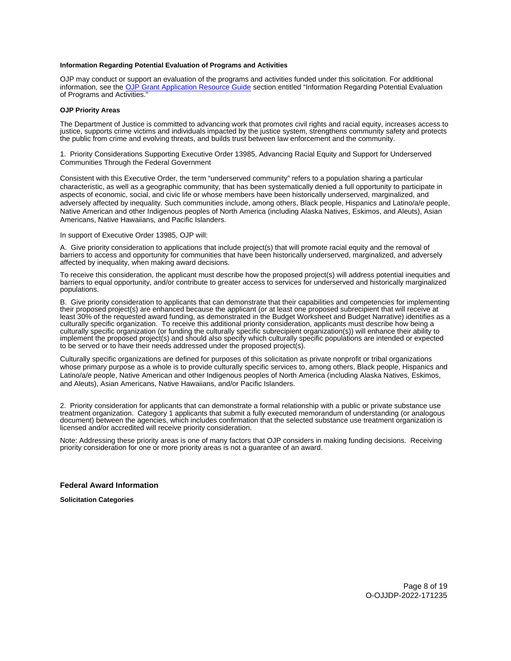#### <span id="page-7-0"></span>**Information Regarding Potential Evaluation of Programs and Activities**

OJP may conduct or support an evaluation of the programs and activities funded under this solicitation. For additional information, see the [OJP Grant Application Resource Guide](https://www.ojp.gov/funding/apply/ojp-grant-application-resource-guide#potential-evaluation) section entitled "Information Regarding Potential Evaluation of Programs and Activities."

# **OJP Priority Areas**

The Department of Justice is committed to advancing work that promotes civil rights and racial equity, increases access to justice, supports crime victims and individuals impacted by the justice system, strengthens community safety and protects the public from crime and evolving threats, and builds trust between law enforcement and the community.

1. Priority Considerations Supporting Executive Order 13985, Advancing Racial Equity and Support for Underserved Communities Through the Federal Government

Consistent with this Executive Order, the term "underserved community" refers to a population sharing a particular characteristic, as well as a geographic community, that has been systematically denied a full opportunity to participate in aspects of economic, social, and civic life or whose members have been historically underserved, marginalized, and adversely affected by inequality. Such communities include, among others, Black people, Hispanics and Latino/a/e people, Native American and other Indigenous peoples of North America (including Alaska Natives, Eskimos, and Aleuts), Asian Americans, Native Hawaiians, and Pacific Islanders.

#### In support of Executive Order 13985, OJP will:

A. Give priority consideration to applications that include project(s) that will promote racial equity and the removal of barriers to access and opportunity for communities that have been historically underserved, marginalized, and adversely affected by inequality, when making award decisions.

To receive this consideration, the applicant must describe how the proposed project(s) will address potential inequities and barriers to equal opportunity, and/or contribute to greater access to services for underserved and historically marginalized populations.

B. Give priority consideration to applicants that can demonstrate that their capabilities and competencies for implementing their proposed project(s) are enhanced because the applicant (or at least one proposed subrecipient that will receive at least 30% of the requested award funding, as demonstrated in the Budget Worksheet and Budget Narrative) identifies as a culturally specific organization. To receive this additional priority consideration, applicants must describe how being a culturally specific organization (or funding the culturally specific subrecipient organization(s)) will enhance their ability to implement the proposed project(s) and should also specify which culturally specific populations are intended or expected to be served or to have their needs addressed under the proposed project(s).

Culturally specific organizations are defined for purposes of this solicitation as private nonprofit or tribal organizations whose primary purpose as a whole is to provide culturally specific services to, among others, Black people, Hispanics and Latino/a/e people, Native American and other Indigenous peoples of North America (including Alaska Natives, Eskimos, and Aleuts), Asian Americans, Native Hawaiians, and/or Pacific Islanders.

2. Priority consideration for applicants that can demonstrate a formal relationship with a public or private substance use treatment organization. Category 1 applicants that submit a fully executed memorandum of understanding (or analogous document) between the agencies, which includes confirmation that the selected substance use treatment organization is licensed and/or accredited will receive priority consideration.

Note: Addressing these priority areas is one of many factors that OJP considers in making funding decisions. Receiving priority consideration for one or more priority areas is not a guarantee of an award.

#### **Federal Award Information**

**Solicitation Categories** 

Page 8 of 19 O-OJJDP-2022-171235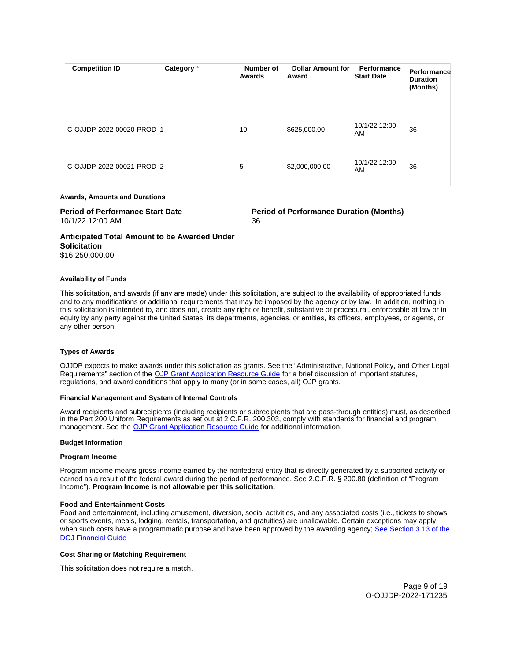<span id="page-8-0"></span>

| <b>Competition ID</b>     | Category * | Number of<br>Awards | <b>Dollar Amount for</b><br>Award | Performance<br><b>Start Date</b> | Performance<br><b>Duration</b><br>(Months) |
|---------------------------|------------|---------------------|-----------------------------------|----------------------------------|--------------------------------------------|
| C-OJJDP-2022-00020-PROD 1 |            | 10                  | \$625,000.00                      | 10/1/22 12:00<br>AM              | 36                                         |
| C-OJJDP-2022-00021-PROD 2 |            | 5                   | \$2,000,000.00                    | 10/1/22 12:00<br>AM              | 36                                         |

## **Awards, Amounts and Durations**

# 10/1/22 12:00 AM 36

**Period of Performance Start Date**  Period of Performance Duration (Months)

**Anticipated Total Amount to be Awarded Under Solicitation**  \$16,250,000.00

# **Availability of Funds**

This solicitation, and awards (if any are made) under this solicitation, are subject to the availability of appropriated funds and to any modifications or additional requirements that may be imposed by the agency or by law. In addition, nothing in this solicitation is intended to, and does not, create any right or benefit, substantive or procedural, enforceable at law or in equity by any party against the United States, its departments, agencies, or entities, its officers, employees, or agents, or any other person.

# **Types of Awards**

OJJDP expects to make awards under this solicitation as grants. See the "Administrative, National Policy, and Other Legal Requirements" section of the [OJP Grant Application Resource Guide](https://ojp.gov/funding/Apply/Resources/Grant-App-Resource-Guide.htm) for a brief discussion of important statutes, regulations, and award conditions that apply to many (or in some cases, all) OJP grants.

# **Financial Management and System of Internal Controls**

Award recipients and subrecipients (including recipients or subrecipients that are pass-through entities) must, as described in the Part 200 Uniform Requirements as set out at 2 C.F.R. 200.303, comply with standards for financial and program management. See the [OJP Grant Application Resource Guide](https://www.ojp.gov/funding/apply/ojp-grant-application-resource-guide#fm-internal-controls) for additional information.

# **Budget Information**

# **Program Income**

Program income means gross income earned by the nonfederal entity that is directly generated by a supported activity or earned as a result of the federal award during the period of performance. See 2.C.F.R. § 200.80 (definition of "Program Income"). **Program Income is not allowable per this solicitation.** 

# **Food and Entertainment Costs**

Food and entertainment, including amusement, diversion, social activities, and any associated costs (i.e., tickets to shows or sports events, meals, lodging, rentals, transportation, and gratuities) are unallowable. Certain exceptions may apply when such costs have a programmatic purpose and have been approved by the awarding agency; See Section 3.13 of the [DOJ Financial Guide](https://www.ojp.gov/sites/g/files/xyckuh241/files/media/document/DOJ_FinancialGuide_1.pdf) 

# **Cost Sharing or Matching Requirement**

This solicitation does not require a match.

Page 9 of 19 O-OJJDP-2022-171235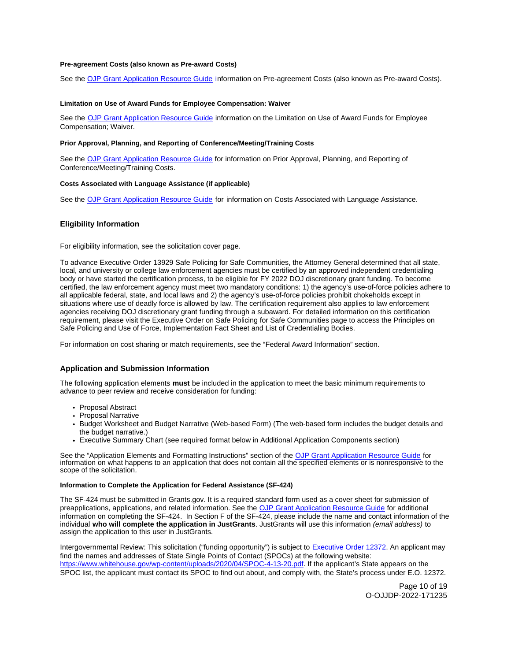#### <span id="page-9-0"></span>**Pre-agreement Costs (also known as Pre-award Costs)**

See the [OJP Grant Application Resource Guide](https://www.ojp.gov/funding/apply/ojp-grant-application-resource-guide#pre-agreement-costs) information on Pre-agreement Costs (also known as Pre-award Costs).

#### **Limitation on Use of Award Funds for Employee Compensation: Waiver**

See the [OJP Grant Application Resource Guide](https://www.ojp.gov/funding/apply/ojp-grant-application-resource-guide#limitation-use-award) information on the Limitation on Use of Award Funds for Employee Compensation; Waiver.

#### **Prior Approval, Planning, and Reporting of Conference/Meeting/Training Costs**

See the [OJP Grant Application Resource Guide](https://www.ojp.gov/funding/apply/ojp-grant-application-resource-guide#prior-approval) for information on Prior Approval, Planning, and Reporting of Conference/Meeting/Training Costs.

# **Costs Associated with Language Assistance (if applicable)**

See the [OJP Grant Application Resource Guide](https://www.ojp.gov/funding/apply/ojp-grant-application-resource-guide#costs-associated) for information on Costs Associated with Language Assistance.

# **Eligibility Information**

For eligibility information, see the solicitation cover page.

To advance Executive Order 13929 Safe Policing for Safe Communities, the Attorney General determined that all state, local, and university or college law enforcement agencies must be certified by an approved independent credentialing body or have started the certification process, to be eligible for FY 2022 DOJ discretionary grant funding. To become certified, the law enforcement agency must meet two mandatory conditions: 1) the agency's use-of-force policies adhere to all applicable federal, state, and local laws and 2) the agency's use-of-force policies prohibit chokeholds except in situations where use of deadly force is allowed by law. The certification requirement also applies to law enforcement agencies receiving DOJ discretionary grant funding through a subaward. For detailed information on this certification requirement, please visit the Executive Order on Safe Policing for Safe Communities page to access the Principles on Safe Policing and Use of Force, Implementation Fact Sheet and List of Credentialing Bodies.

For information on cost sharing or match requirements, see the "Federal Award Information" section.

# **Application and Submission Information**

The following application elements **must** be included in the application to meet the basic minimum requirements to advance to peer review and receive consideration for funding:

- Proposal Abstract
- Proposal Narrative
- Budget Worksheet and Budget Narrative (Web-based Form) (The web-based form includes the budget details and the budget narrative.)
- Executive Summary Chart (see required format below in Additional Application Components section)

See the "Application Elements and Formatting Instructions" section of the [OJP Grant Application Resource Guide](https://www.ojp.gov/funding/apply/ojp-grant-application-resource-guide#application-elements) for information on what happens to an application that does not contain all the specified elements or is nonresponsive to the scope of the solicitation.

#### **Information to Complete the Application for Federal Assistance (SF-424)**

The SF-424 must be submitted in [Grants.gov](https://Grants.gov). It is a required standard form used as a cover sheet for submission of preapplications, applications, and related information. See the [OJP Grant Application Resource Guide](https://www.ojp.gov/funding/apply/ojp-grant-application-resource-guide#complete-application) for additional information on completing the SF-424. In Section F of the SF-424, please include the name and contact information of the individual **who will complete the application in JustGrants**. JustGrants will use this information (email address) to assign the application to this user in JustGrants.

Intergovernmental Review: This solicitation ("funding opportunity") is subject to [Executive Order 12372.](https://www.archives.gov/federal-register/codification/executive-order/12372.html) An applicant may find the names and addresses of State Single Points of Contact (SPOCs) at the following website: [https://www.whitehouse.gov/wp-content/uploads/2020/04/SPOC-4-13-20.pdf.](https://www.whitehouse.gov/wp-content/uploads/2020/01/spoc_1_16_2020.pdf) If the applicant's State appears on the SPOC list, the applicant must contact its SPOC to find out about, and comply with, the State's process under E.O. 12372.

> Page 10 of 19 O-OJJDP-2022-171235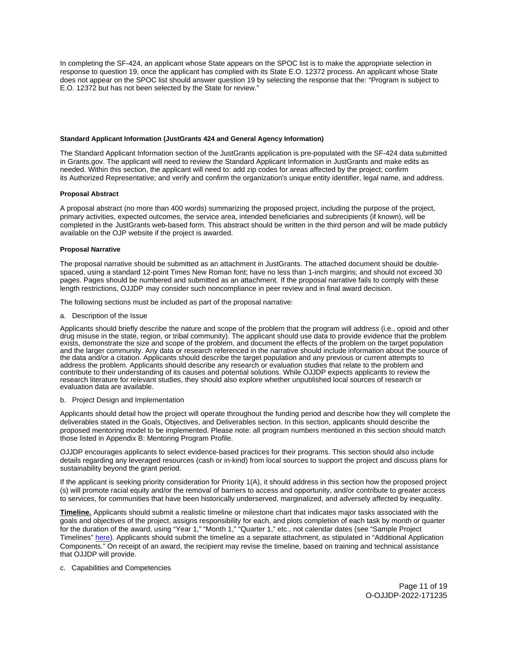<span id="page-10-0"></span>In completing the SF-424, an applicant whose State appears on the SPOC list is to make the appropriate selection in response to question 19, once the applicant has complied with its State E.O. 12372 process. An applicant whose State does not appear on the SPOC list should answer question 19 by selecting the response that the: "Program is subject to E.O. 12372 but has not been selected by the State for review."

#### **Standard Applicant Information (JustGrants 424 and General Agency Information)**

The Standard Applicant Information section of the JustGrants application is pre-populated with the SF-424 data submitted in [Grants.gov](https://Grants.gov). The applicant will need to review the Standard Applicant Information in JustGrants and make edits as needed. Within this section, the applicant will need to: add zip codes for areas affected by the project; confirm its Authorized Representative; and verify and confirm the organization's unique entity identifier, legal name, and address.

#### **Proposal Abstract**

A proposal abstract (no more than 400 words) summarizing the proposed project, including the purpose of the project, primary activities, expected outcomes, the service area, intended beneficiaries and subrecipients (if known), will be completed in the JustGrants web-based form. This abstract should be written in the third person and will be made publicly available on the OJP website if the project is awarded.

#### **Proposal Narrative**

The proposal narrative should be submitted as an attachment in JustGrants. The attached document should be doublespaced, using a standard 12-point Times New Roman font; have no less than 1-inch margins; and should not exceed 30 pages. Pages should be numbered and submitted as an attachment. If the proposal narrative fails to comply with these length restrictions, OJJDP may consider such noncompliance in peer review and in final award decision.

The following sections must be included as part of the proposal narrative:

a. Description of the Issue

Applicants should briefly describe the nature and scope of the problem that the program will address (i.e., opioid and other drug misuse in the state, region, or tribal community). The applicant should use data to provide evidence that the problem exists, demonstrate the size and scope of the problem, and document the effects of the problem on the target population and the larger community. Any data or research referenced in the narrative should include information about the source of the data and/or a citation. Applicants should describe the target population and any previous or current attempts to address the problem. Applicants should describe any research or evaluation studies that relate to the problem and contribute to their understanding of its causes and potential solutions. While OJJDP expects applicants to review the research literature for relevant studies, they should also explore whether unpublished local sources of research or evaluation data are available.

#### b. Project Design and Implementation

Applicants should detail how the project will operate throughout the funding period and describe how they will complete the deliverables stated in the Goals, Objectives, and Deliverables section. In this section, applicants should describe the proposed mentoring model to be implemented. Please note: all program numbers mentioned in this section should match those listed in Appendix B: Mentoring Program Profile.

OJJDP encourages applicants to select evidence-based practices for their programs. This section should also include details regarding any leveraged resources (cash or in-kind) from local sources to support the project and discuss plans for sustainability beyond the grant period.

If the applicant is seeking priority consideration for Priority 1(A), it should address in this section how the proposed project (s) will promote racial equity and/or the removal of barriers to access and opportunity, and/or contribute to greater access to services, for communities that have been historically underserved, marginalized, and adversely affected by inequality.

**Timeline.** Applicants should submit a realistic timeline or milestone chart that indicates major tasks associated with the goals and objectives of the project, assigns responsibility for each, and plots completion of each task by month or quarter for the duration of the award, using "Year 1," "Month 1," "Quarter 1," etc., not calendar dates (see "Sample Project Timelines" [here\)](https://ojjdp.ojp.gov/funding/ojjdp-sample-timelines). Applicants should submit the timeline as a separate attachment, as stipulated in "Additional Application Components." On receipt of an award, the recipient may revise the timeline, based on training and technical assistance that OJJDP will provide.

c. Capabilities and Competencies

Page 11 of 19 O-OJJDP-2022-171235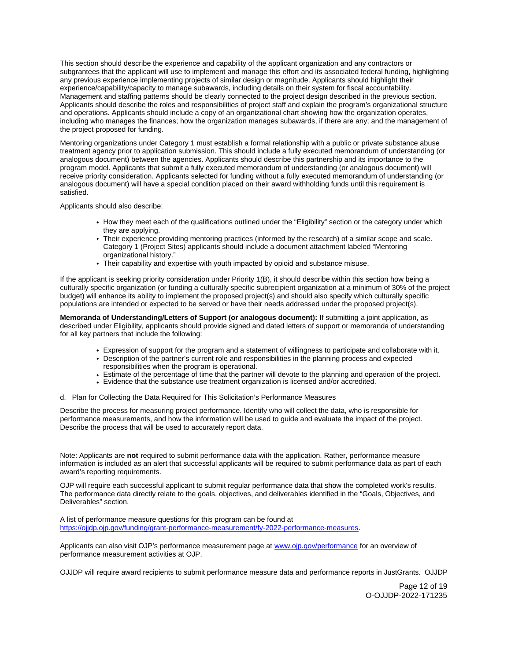This section should describe the experience and capability of the applicant organization and any contractors or subgrantees that the applicant will use to implement and manage this effort and its associated federal funding, highlighting any previous experience implementing projects of similar design or magnitude. Applicants should highlight their experience/capability/capacity to manage subawards, including details on their system for fiscal accountability. Management and staffing patterns should be clearly connected to the project design described in the previous section. Applicants should describe the roles and responsibilities of project staff and explain the program's organizational structure and operations. Applicants should include a copy of an organizational chart showing how the organization operates, including who manages the finances; how the organization manages subawards, if there are any; and the management of the project proposed for funding.

Mentoring organizations under Category 1 must establish a formal relationship with a public or private substance abuse treatment agency prior to application submission. This should include a fully executed memorandum of understanding (or analogous document) between the agencies. Applicants should describe this partnership and its importance to the program model. Applicants that submit a fully executed memorandum of understanding (or analogous document) will receive priority consideration. Applicants selected for funding without a fully executed memorandum of understanding (or analogous document) will have a special condition placed on their award withholding funds until this requirement is satisfied.

Applicants should also describe:

- How they meet each of the qualifications outlined under the "Eligibility" section or the category under which they are applying.
- Their experience providing mentoring practices (informed by the research) of a similar scope and scale. Category 1 (Project Sites) applicants should include a document attachment labeled "Mentoring organizational history."
- Their capability and expertise with youth impacted by opioid and substance misuse.

If the applicant is seeking priority consideration under Priority 1(B), it should describe within this section how being a culturally specific organization (or funding a culturally specific subrecipient organization at a minimum of 30% of the project budget) will enhance its ability to implement the proposed project(s) and should also specify which culturally specific populations are intended or expected to be served or have their needs addressed under the proposed project(s).

**Memoranda of Understanding/Letters of Support (or analogous document):** If submitting a joint application, as described under Eligibility, applicants should provide signed and dated letters of support or memoranda of understanding for all key partners that include the following:

- Expression of support for the program and a statement of willingness to participate and collaborate with it.
- Description of the partner's current role and responsibilities in the planning process and expected responsibilities when the program is operational.
- Estimate of the percentage of time that the partner will devote to the planning and operation of the project.
- Evidence that the substance use treatment organization is licensed and/or accredited.
- d. Plan for Collecting the Data Required for This Solicitation's Performance Measures

Describe the process for measuring project performance. Identify who will collect the data, who is responsible for performance measurements, and how the information will be used to guide and evaluate the impact of the project. Describe the process that will be used to accurately report data.

Note: Applicants are **not** required to submit performance data with the application. Rather, performance measure information is included as an alert that successful applicants will be required to submit performance data as part of each award's reporting requirements.

OJP will require each successful applicant to submit regular performance data that show the completed work's results. The performance data directly relate to the goals, objectives, and deliverables identified in the "Goals, Objectives, and Deliverables" section.

A list of performance measure questions for this program can be found at [https://ojjdp.ojp.gov/funding/grant-performance-measurement/fy-2022-performance-measures.](https://ojjdp.ojp.gov/funding/grant-performance-measurement/fy-2021-performance-measures)

Applicants can also visit OJP's performance measurement page at [www.ojp.gov/performance](https://www.ojp.gov/performance) for an overview of performance measurement activities at OJP.

OJJDP will require award recipients to submit performance measure data and performance reports in JustGrants. OJJDP

Page 12 of 19 O-OJJDP-2022-171235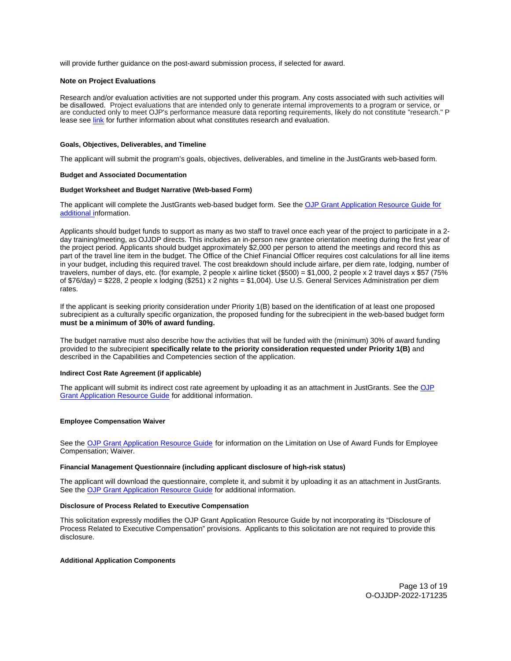<span id="page-12-0"></span>will provide further guidance on the post-award submission process, if selected for award.

#### **Note on Project Evaluations**

Research and/or evaluation activities are not supported under this program. Any costs associated with such activities will be disallowed. Project evaluations that are intended only to generate internal improvements to a program or service, or are conducted only to meet OJP's performance measure data reporting requirements, likely do not constitute "research." P lease see [link](https://www.ojp.gov/sites/g/files/xyckuh241/files/media/document/ResearchDecisionTree.pdf) for further information about what constitutes research and evaluation.

#### **Goals, Objectives, Deliverables, and Timeline**

The applicant will submit the program's goals, objectives, deliverables, and timeline in the JustGrants web-based form.

#### **Budget and Associated Documentation**

#### **Budget Worksheet and Budget Narrative (Web-based Form)**

The applicant will complete the JustGrants web-based budget form. See the [OJP Grant Application Resource Guide](https://ojp.gov/funding/Apply/Resources/Grant-App-Resource-Guide.htm) for additional information.

Applicants should budget funds to support as many as two staff to travel once each year of the project to participate in a 2 day training/meeting, as OJJDP directs. This includes an in-person new grantee orientation meeting during the first year of the project period. Applicants should budget approximately \$2,000 per person to attend the meetings and record this as part of the travel line item in the budget. The Office of the Chief Financial Officer requires cost calculations for all line items in your budget, including this required travel. The cost breakdown should include airfare, per diem rate, lodging, number of travelers, number of days, etc. (for example, 2 people x airline ticket (\$500) = \$1,000, 2 people x 2 travel days x \$57 (75% of \$76/day) = \$228, 2 people x lodging (\$251) x 2 nights = \$1,004). Use U.S. General Services Administration per diem rates.

If the applicant is seeking priority consideration under Priority 1(B) based on the identification of at least one proposed subrecipient as a culturally specific organization, the proposed funding for the subrecipient in the web-based budget form **must be a minimum of 30% of award funding.** 

The budget narrative must also describe how the activities that will be funded with the (minimum) 30% of award funding provided to the subrecipient **specifically relate to the priority consideration requested under Priority 1(B)** and described in the Capabilities and Competencies section of the application.

#### **Indirect Cost Rate Agreement (if applicable)**

The applicant will submit its indirect cost rate agreement by uploading it as an attachment in JustGrants. See the OJP [Grant Application Resource Guide](https://www.ojp.gov/funding/apply/ojp-grant-application-resource-guide#indirect-cost) for additional information.

# **Employee Compensation Waiver**

See the [OJP Grant Application Resource Guide](https://www.ojp.gov/funding/apply/ojp-grant-application-resource-guide#limitation-use-award) for information on the Limitation on Use of Award Funds for Employee Compensation; Waiver.

# **Financial Management Questionnaire (including applicant disclosure of high-risk status)**

The applicant will download the questionnaire, complete it, and submit it by uploading it as an attachment in JustGrants. See the **OJP Grant Application Resource Guide** for additional information.

#### **Disclosure of Process Related to Executive Compensation**

This solicitation expressly modifies the OJP Grant Application Resource Guide by not incorporating its "Disclosure of Process Related to Executive Compensation" provisions. Applicants to this solicitation are not required to provide this disclosure.

# **Additional Application Components**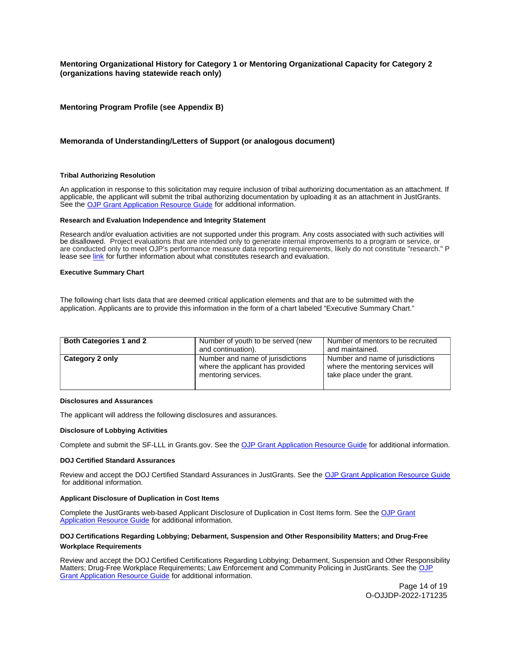# <span id="page-13-0"></span>**Mentoring Organizational History for Category 1 or Mentoring Organizational Capacity for Category 2 (organizations having statewide reach only)**

# **Mentoring Program Profile (see Appendix B)**

# **Memoranda of Understanding/Letters of Support (or analogous document)**

#### **Tribal Authorizing Resolution**

An application in response to this solicitation may require inclusion of tribal authorizing documentation as an attachment. If applicable, the applicant will submit the tribal authorizing documentation by uploading it as an attachment in JustGrants. See the [OJP Grant Application Resource Guide](https://www.ojp.gov/funding/apply/ojp-grant-application-resource-guide) for additional information.

# **Research and Evaluation Independence and Integrity Statement**

Research and/or evaluation activities are not supported under this program. Any costs associated with such activities will be disallowed. Project evaluations that are intended only to generate internal improvements to a program or service, or are conducted only to meet OJP's performance measure data reporting requirements, likely do not constitute "research." P lease see [link](https://www.ojp.gov/sites/g/files/xyckuh241/files/media/document/ResearchDecisionTree.pdf) for further information about what constitutes research and evaluation.

#### **Executive Summary Chart**

The following chart lists data that are deemed critical application elements and that are to be submitted with the application. Applicants are to provide this information in the form of a chart labeled "Executive Summary Chart."

| <b>Both Categories 1 and 2</b> | Number of youth to be served (new<br>and continuation).                                     | Number of mentors to be recruited<br>and maintained.                                                 |
|--------------------------------|---------------------------------------------------------------------------------------------|------------------------------------------------------------------------------------------------------|
| Category 2 only                | Number and name of jurisdictions<br>where the applicant has provided<br>mentoring services. | Number and name of jurisdictions<br>where the mentoring services will<br>take place under the grant. |

#### **Disclosures and Assurances**

The applicant will address the following disclosures and assurances.

#### **Disclosure of Lobbying Activities**

Complete and submit the SF-LLL in [Grants.gov](https://Grants.gov). See the [OJP Grant Application Resource Guide](https://www.ojp.gov/funding/apply/ojp-grant-application-resource-guide#disclosure-lobby) for additional information.

#### **DOJ Certified Standard Assurances**

Review and accept the DOJ Certified Standard Assurances in JustGrants. See the [OJP Grant Application Resource Guide](https://www.ojp.gov/funding/apply/ojp-grant-application-resource-guide#administrative) for additional information.

#### **Applicant Disclosure of Duplication in Cost Items**

Complete the JustGrants web-based Applicant Disclosure of Duplication in Cost Items form. See the [OJP Grant](https://www.ojp.gov/funding/apply/ojp-grant-application-resource-guide#applicant-disclosure-pending-applications)  [Application Resource Guide](https://www.ojp.gov/funding/apply/ojp-grant-application-resource-guide#applicant-disclosure-pending-applications) for additional information.

# **DOJ Certifications Regarding Lobbying; Debarment, Suspension and Other Responsibility Matters; and Drug-Free Workplace Requirements**

Review and accept the DOJ Certified Certifications Regarding Lobbying; Debarment, Suspension and Other Responsibility Matters; Drug-Free Workplace Requirements; Law Enforcement and Community Policing in JustGrants. See the [OJP](https://www.ojp.gov/funding/apply/ojp-grant-application-resource-guide#administrative)  [Grant Application Resource Guide](https://www.ojp.gov/funding/apply/ojp-grant-application-resource-guide#administrative) for additional information.

> Page 14 of 19 O-OJJDP-2022-171235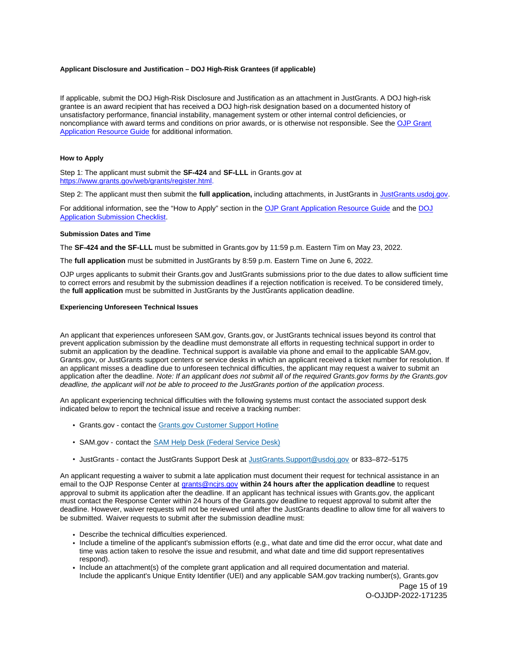#### <span id="page-14-0"></span>**Applicant Disclosure and Justification – DOJ High-Risk Grantees (if applicable)**

If applicable, submit the DOJ High-Risk Disclosure and Justification as an attachment in JustGrants. A DOJ high-risk grantee is an award recipient that has received a DOJ high-risk designation based on a documented history of unsatisfactory performance, financial instability, management system or other internal control deficiencies, or noncompliance with award terms and conditions on prior awards, or is otherwise not responsible. See the [OJP Grant](https://www.ojp.gov/funding/apply/ojp-grant-application-resource-guide#applicant-disclosure-justification)  [Application Resource Guide](https://www.ojp.gov/funding/apply/ojp-grant-application-resource-guide#applicant-disclosure-justification) for additional information.

#### **How to Apply**

Step 1: The applicant must submit the **SF-424** and **SF-LLL** in [Grants.gov](https://Grants.gov) at [https://www.grants.gov/web/grants/register.html.](https://www.grants.gov/web/grants/register.html)

Step 2: The applicant must then submit the **full application,** including attachments, in JustGrants in [JustGrants.usdoj.gov.](https://justicegrants.usdoj.gov/)

For additional information, see the "How to Apply" section in the [OJP Grant Application Resource Guide](https://www.ojp.gov/funding/apply/ojp-grant-application-resource-guide#apply) and the [DOJ](https://justicegrants.usdoj.gov/sites/g/files/xyckuh296/files/media/document/appln-submission-checklist.pdf)  [Application Submission Checklist.](https://justicegrants.usdoj.gov/sites/g/files/xyckuh296/files/media/document/appln-submission-checklist.pdf)

#### **Submission Dates and Time**

The **SF-424 and the SF-LLL** must be submitted in [Grants.gov](https://Grants.gov) by 11:59 p.m. Eastern Tim on May 23, 2022.

The **full application** must be submitted in JustGrants by 8:59 p.m. Eastern Time on June 6, 2022.

OJP urges applicants to submit their [Grants.gov](https://Grants.gov) and JustGrants submissions prior to the due dates to allow sufficient time to correct errors and resubmit by the submission deadlines if a rejection notification is received. To be considered timely, the **full application** must be submitted in JustGrants by the JustGrants application deadline.

# **Experiencing Unforeseen Technical Issues**

An applicant that experiences unforeseen SAM.gov, [Grants.gov](https://Grants.gov), or JustGrants technical issues beyond its control that prevent application submission by the deadline must demonstrate all efforts in requesting technical support in order to submit an application by the deadline. Technical support is available via phone and email to the applicable SAM.gov, [Grants.gov](https://Grants.gov), or JustGrants support centers or service desks in which an applicant received a ticket number for resolution. If an applicant misses a deadline due to unforeseen technical difficulties, the applicant may request a waiver to submit an application after the deadline. Note: If an applicant does not submit all of the required [Grants.gov](https://Grants.gov) forms by the [Grants.gov](https://Grants.gov) deadline, the applicant will not be able to proceed to the JustGrants portion of the application process.

An applicant experiencing technical difficulties with the following systems must contact the associated support desk indicated below to report the technical issue and receive a tracking number:

- [Grants.gov](https://Grants.gov)  contact the Grants.gov Customer Support Hotline
- SAM.gov contact the [SAM Help Desk \(Federal Service Desk\)](https://www.fsd.gov/gsafsd_sp)
- JustGrants contact the JustGrants Support Desk at [JustGrants.Support@usdoj.gov](mailto:JustGrants.Support@usdoj.gov) or 833–872–5175

An applicant requesting a waiver to submit a late application must document their request for technical assistance in an email to the OJP Response Center at [grants@ncjrs.gov](file:///C:/Users/local_Yehj/INetCache/Content.Outlook/20U4XBR7/grants@ncjrs.gov) **within 24 hours after the application deadline** to request approval to submit its application after the deadline. If an applicant has technical issues with [Grants.gov,](https://Grants.gov) the applicant must contact the Response Center within 24 hours of the [Grants.gov](https://Grants.gov) deadline to request approval to submit after the deadline. However, waiver requests will not be reviewed until after the JustGrants deadline to allow time for all waivers to be submitted. Waiver requests to submit after the submission deadline must:

- Describe the technical difficulties experienced.
- Include a timeline of the applicant's submission efforts (e.g., what date and time did the error occur, what date and time was action taken to resolve the issue and resubmit, and what date and time did support representatives respond).
- Include an attachment(s) of the complete grant application and all required documentation and material. Include the applicant's Unique Entity Identifier (UEI) and any applicable SAM.gov tracking number(s), [Grants.gov](https://Grants.gov)

Page 15 of 19 O-OJJDP-2022-171235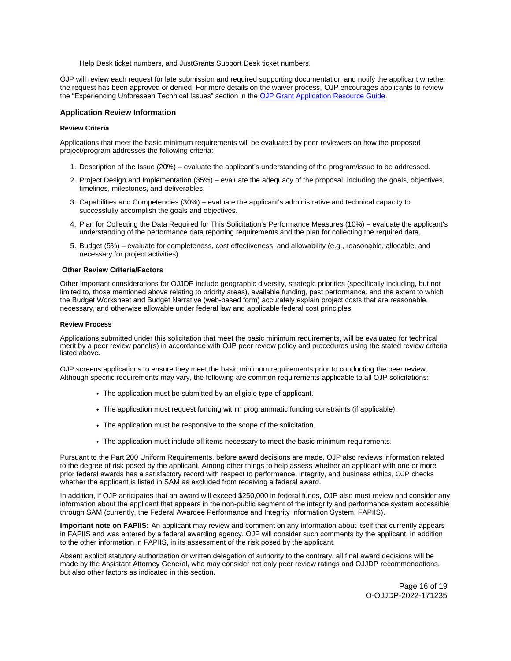Help Desk ticket numbers, and JustGrants Support Desk ticket numbers.

<span id="page-15-0"></span>OJP will review each request for late submission and required supporting documentation and notify the applicant whether the request has been approved or denied. For more details on the waiver process, OJP encourages applicants to review the "Experiencing Unforeseen Technical Issues" section in the [OJP Grant Application Resource Guide](https://www.ojp.gov/funding/apply/ojp-grant-application-resource-guide#experiencing-unforeseen-technical-issues).

# **Application Review Information**

#### **Review Criteria**

Applications that meet the basic minimum requirements will be evaluated by peer reviewers on how the proposed project/program addresses the following criteria:

- 1. Description of the Issue (20%) evaluate the applicant's understanding of the program/issue to be addressed.
- 2. Project Design and Implementation (35%) evaluate the adequacy of the proposal, including the goals, objectives, timelines, milestones, and deliverables.
- 3. Capabilities and Competencies (30%) evaluate the applicant's administrative and technical capacity to successfully accomplish the goals and objectives.
- 4. Plan for Collecting the Data Required for This Solicitation's Performance Measures (10%) evaluate the applicant's understanding of the performance data reporting requirements and the plan for collecting the required data.
- 5. Budget (5%) evaluate for completeness, cost effectiveness, and allowability (e.g., reasonable, allocable, and necessary for project activities).

#### **Other Review Criteria/Factors**

Other important considerations for OJJDP include geographic diversity, strategic priorities (specifically including, but not limited to, those mentioned above relating to priority areas), available funding, past performance, and the extent to which the Budget Worksheet and Budget Narrative (web-based form) accurately explain project costs that are reasonable, necessary, and otherwise allowable under federal law and applicable federal cost principles.

#### **Review Process**

Applications submitted under this solicitation that meet the basic minimum requirements, will be evaluated for technical merit by a peer review panel(s) in accordance with OJP peer review policy and procedures using the stated review criteria listed above.

OJP screens applications to ensure they meet the basic minimum requirements prior to conducting the peer review. Although specific requirements may vary, the following are common requirements applicable to all OJP solicitations:

- The application must be submitted by an eligible type of applicant.
- The application must request funding within programmatic funding constraints (if applicable).
- The application must be responsive to the scope of the solicitation.
- The application must include all items necessary to meet the basic minimum requirements.

Pursuant to the Part 200 Uniform Requirements, before award decisions are made, OJP also reviews information related to the degree of risk posed by the applicant. Among other things to help assess whether an applicant with one or more prior federal awards has a satisfactory record with respect to performance, integrity, and business ethics, OJP checks whether the applicant is listed in SAM as excluded from receiving a federal award.

In addition, if OJP anticipates that an award will exceed \$250,000 in federal funds, OJP also must review and consider any information about the applicant that appears in the non-public segment of the integrity and performance system accessible through SAM (currently, the Federal Awardee Performance and Integrity Information System, FAPIIS).

**Important note on FAPIIS:** An applicant may review and comment on any information about itself that currently appears in FAPIIS and was entered by a federal awarding agency. OJP will consider such comments by the applicant, in addition to the other information in FAPIIS, in its assessment of the risk posed by the applicant.

Absent explicit statutory authorization or written delegation of authority to the contrary, all final award decisions will be made by the Assistant Attorney General, who may consider not only peer review ratings and OJJDP recommendations, but also other factors as indicated in this section.

> Page 16 of 19 O-OJJDP-2022-171235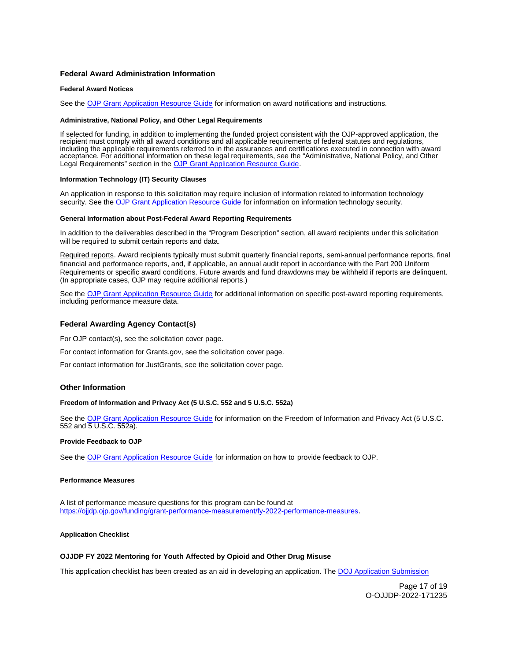# <span id="page-16-0"></span>**Federal Award Administration Information**

#### **Federal Award Notices**

See the [OJP Grant Application Resource Guide](https://www.ojp.gov/funding/apply/ojp-grant-application-resource-guide#federal-award-notices) for information on award notifications and instructions.

#### **Administrative, National Policy, and Other Legal Requirements**

If selected for funding, in addition to implementing the funded project consistent with the OJP-approved application, the recipient must comply with all award conditions and all applicable requirements of federal statutes and regulations, including the applicable requirements referred to in the assurances and certifications executed in connection with award acceptance. For additional information on these legal requirements, see the "Administrative, National Policy, and Other Legal Requirements" section in the [OJP Grant Application Resource Guide.](https://www.ojp.gov/funding/apply/ojp-grant-application-resource-guide#administrative)

#### **Information Technology (IT) Security Clauses**

An application in response to this solicitation may require inclusion of information related to information technology security. See the [OJP Grant Application Resource Guide](https://www.ojp.gov/funding/apply/ojp-grant-application-resource-guide#information-technology) for information on information technology security.

#### **General Information about Post-Federal Award Reporting Requirements**

In addition to the deliverables described in the "Program Description" section, all award recipients under this solicitation will be required to submit certain reports and data.

Required reports. Award recipients typically must submit quarterly financial reports, semi-annual performance reports, final financial and performance reports, and, if applicable, an annual audit report in accordance with the Part 200 Uniform Requirements or specific award conditions. Future awards and fund drawdowns may be withheld if reports are delinquent. (In appropriate cases, OJP may require additional reports.)

See the [OJP Grant Application Resource Guide](https://www.ojp.gov/funding/apply/ojp-grant-application-resource-guide#general-information) for additional information on specific post-award reporting requirements, including performance measure data.

# **Federal Awarding Agency Contact(s)**

For OJP contact(s), see the solicitation cover page.

For contact information for [Grants.gov](https://Grants.gov), see the solicitation cover page.

For contact information for JustGrants, see the solicitation cover page.

# **Other Information**

# **Freedom of Information and Privacy Act (5 U.S.C. 552 and 5 U.S.C. 552a)**

See the [OJP Grant Application Resource Guide](https://www.ojp.gov/funding/apply/ojp-grant-application-resource-guide#foia) for information on the Freedom of Information and Privacy Act (5 U.S.C. 552 and 5 U.S.C. 552a).

# **Provide Feedback to OJP**

See the [OJP Grant Application Resource Guide](https://www.ojp.gov/funding/apply/ojp-grant-application-resource-guide#feedback) for information on how to provide feedback to OJP.

# **Performance Measures**

A list of performance measure questions for this program can be found at [https://ojjdp.ojp.gov/funding/grant-performance-measurement/fy-2022-performance-measures.](https://ojjdp.ojp.gov/funding/grant-performance-measurement/fy-2021-performance-measures)

# **Application Checklist**

# **OJJDP FY 2022 Mentoring for Youth Affected by Opioid and Other Drug Misuse**

This application checklist has been created as an aid in developing an application. The DOJ Application Submission

Page 17 of 19 O-OJJDP-2022-171235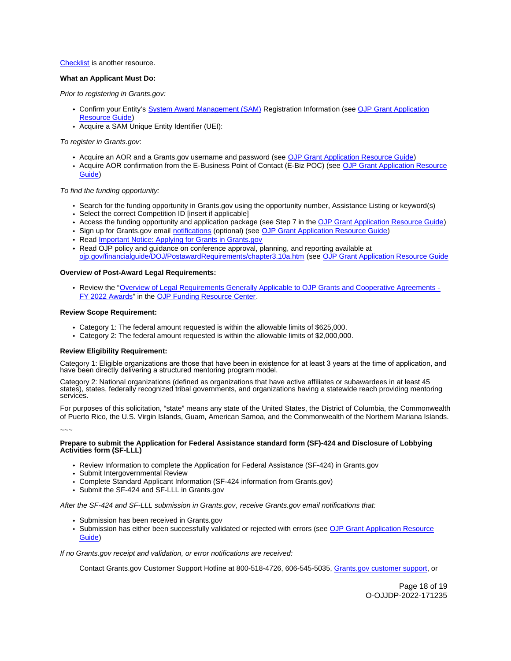## [Checklist](https://justicegrants.usdoj.gov/sites/g/files/xyckuh296/files/media/document/appln-submission-checklist.pdf) is another resource.

# **What an Applicant Must Do:**

Prior to registering in [Grants.gov](https://Grants.gov):

- Confirm your Entity's [System Award Management \(SAM\)](https://sam.gov/SAM/) Registration Information (see [OJP Grant Application](https://www.ojp.gov/funding/apply/ojp-grant-application-resource-guide#apply)  [Resource Guide\)](https://www.ojp.gov/funding/apply/ojp-grant-application-resource-guide#apply)
- Acquire a SAM Unique Entity Identifier (UEI):

To register in [Grants.gov](https://Grants.gov):

- Acquire an AOR and a [Grants.gov](https://Grants.gov) username and password (see [OJP Grant Application Resource Guide\)](https://www.ojp.gov/funding/apply/ojp-grant-application-resource-guide#apply)
- Acquire AOR confirmation from the E-Business Point of Contact (E-Biz POC) (see OJP Grant Application Resource [Guide\)](https://www.ojp.gov/funding/apply/ojp-grant-application-resource-guide#apply)

# To find the funding opportunity:

- Search for the funding opportunity in [Grants.gov](https://Grants.gov) using the opportunity number, Assistance Listing or keyword(s)
- Select the correct Competition ID [insert if applicable]
- Access the funding opportunity and application package (see Step 7 in the [OJP Grant Application Resource Guide\)](https://www.ojp.gov/funding/apply/ojp-grant-application-resource-guide#apply)
- Sign up for [Grants.gov](https://Grants.gov) email [notifications](https://www.grants.gov/web/grants/manage-subscriptions.html) (optional) (see [OJP Grant Application Resource Guide\)](https://www.ojp.gov/funding/apply/ojp-grant-application-resource-guide#apply)
- Read Important Notice: Applying for Grants in Grants.gov
- Read OJP policy and guidance on conference approval, planning, and reporting available at [ojp.gov/financialguide/DOJ/PostawardRequirements/chapter3.10a.htm](https://ojp.gov/financialguide/DOJ/PostawardRequirements/chapter3.10a.htm) (see [OJP Grant Application Resource Guide](https://www.ojp.gov/funding/apply/ojp-grant-application-resource-guide#prior-approval)

#### **Overview of Post-Award Legal Requirements:**

Review the "[Overview of Legal Requirements Generally Applicable to OJP Grants and Cooperative Agreements -](https://www.ojp.gov/funding/explore/legal-overview-awards) [FY 2022 Awards"](https://www.ojp.gov/funding/explore/legal-overview-awards) in the [OJP Funding Resource Center.](https://www.ojp.gov/funding/explore/legal-overview-awards)

#### **Review Scope Requirement:**

- Category 1: The federal amount requested is within the allowable limits of \$625,000.
- Category 2: The federal amount requested is within the allowable limits of \$2,000,000.

#### **Review Eligibility Requirement:**

Category 1: Eligible organizations are those that have been in existence for at least 3 years at the time of application, and have been directly delivering a structured mentoring program model.

Category 2: National organizations (defined as organizations that have active affiliates or subawardees in at least 45 states), states, federally recognized tribal governments, and organizations having a statewide reach providing mentoring services.

For purposes of this solicitation, "state" means any state of the United States, the District of Columbia, the Commonwealth of Puerto Rico, the U.S. Virgin Islands, Guam, American Samoa, and the Commonwealth of the Northern Mariana Islands.

~~~

# **Prepare to submit the Application for Federal Assistance standard form (SF)-424 and Disclosure of Lobbying Activities form (SF-LLL)**

- Review Information to complete the Application for Federal Assistance (SF-424) in [Grants.gov](https://Grants.gov)
- Submit Intergovernmental Review
- Complete Standard Applicant Information (SF-424 information from [Grants.gov](https://Grants.gov))
- Submit the SF-424 and SF-LLL in [Grants.gov](https://Grants.gov)

After the SF-424 and SF-LLL submission in [Grants.gov](https://Grants.gov), receive [Grants.gov](https://Grants.gov) email notifications that:

- Submission has been received in Grants.gov
- Submission has either been successfully validated or rejected with errors (see [OJP Grant Application Resource](https://www.ojp.gov/funding/apply/ojp-grant-application-resource-guide#apply)  [Guide\)](https://www.ojp.gov/funding/apply/ojp-grant-application-resource-guide#apply)

If no [Grants.gov](https://Grants.gov) receipt and validation, or error notifications are received:

Contact [Grants.gov](https://Grants.gov) Customer Support Hotline at 800-518-4726, 606-545-5035, [Grants.gov customer support,](https://www.grants.gov/web/grants/support.html) or

Page 18 of 19 O-OJJDP-2022-171235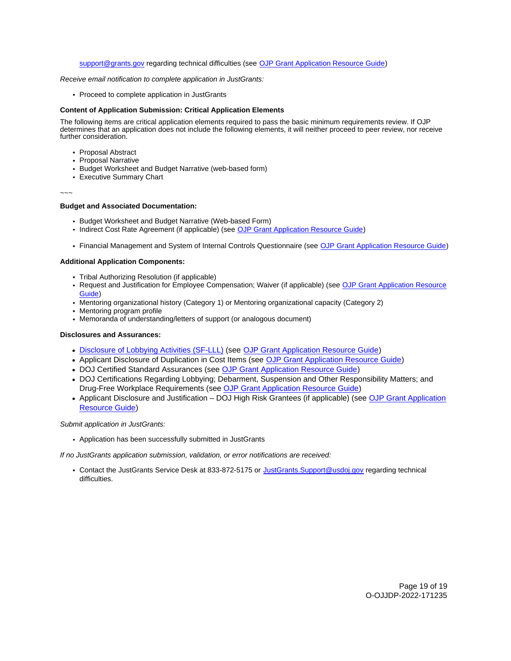# [support@grants.gov](mailto:support@grants.gov) regarding technical difficulties (see [OJP Grant Application Resource Guide\)](https://www.ojp.gov/funding/apply/ojp-grant-application-resource-guide#apply)

#### Receive email notification to complete application in JustGrants:

• Proceed to complete application in JustGrants

# **Content of Application Submission: Critical Application Elements**

The following items are critical application elements required to pass the basic minimum requirements review. If OJP determines that an application does not include the following elements, it will neither proceed to peer review, nor receive further consideration.

- Proposal Abstract
- Proposal Narrative
- Budget Worksheet and Budget Narrative (web-based form)
- Executive Summary Chart

#### ~~~

# **Budget and Associated Documentation:**

- Budget Worksheet and Budget Narrative (Web-based Form)
- Indirect Cost Rate Agreement (if applicable) (see [OJP Grant Application Resource Guide\)](https://www.ojp.gov/funding/apply/ojp-grant-application-resource-guide#indirect-cost)
- Financial Management and System of Internal Controls Questionnaire (see [OJP Grant Application Resource Guide\)](https://www.ojp.gov/funding/apply/ojp-grant-application-resource-guide#fm-internal-controls-questionnaire)

# **Additional Application Components:**

- Tribal Authorizing Resolution (if applicable)
- Request and Justification for Employee Compensation; Waiver (if applicable) (see OJP Grant Application Resource [Guide\)](https://ojp.gov/funding/Apply/Resources/Grant-App-Resource-Guide.htm)
- Mentoring organizational history (Category 1) or Mentoring organizational capacity (Category 2)
- Mentoring program profile
- Memoranda of understanding/letters of support (or analogous document)

## **Disclosures and Assurances:**

- [Disclosure of Lobbying Activities \(SF-LLL\)](https://ojp.gov/funding/Apply/Resources/Disclosure.pdf) (see [OJP Grant Application Resource Guide\)](https://www.ojp.gov/funding/apply/ojp-grant-application-resource-guide#disclosure-lobby)
- Applicant Disclosure of Duplication in Cost Items (see [OJP Grant Application Resource Guide\)](https://www.ojp.gov/funding/apply/ojp-grant-application-resource-guide#applicant-disclosure-pending-applications)
- DOJ Certified Standard Assurances (see [OJP Grant Application Resource Guide\)](https://www.ojp.gov/funding/apply/ojp-grant-application-resource-guide#administrative)
- DOJ Certifications Regarding Lobbying; Debarment, Suspension and Other Responsibility Matters; and Drug-Free Workplace Requirements (see [OJP Grant Application Resource Guide\)](https://www.ojp.gov/funding/apply/ojp-grant-application-resource-guide#administrative)
- Applicant Disclosure and Justification DOJ High Risk Grantees (if applicable) (see OJP Grant Application [Resource Guide\)](https://www.ojp.gov/funding/apply/ojp-grant-application-resource-guide#applicant-disclosure-justification)

# Submit application in JustGrants:

Application has been successfully submitted in JustGrants

If no JustGrants application submission, validation, or error notifications are received:

• Contact the JustGrants Service Desk at 833-872-5175 or [JustGrants.Support@usdoj.gov](mailto:JustGrants.Support@usdoj.gov) regarding technical difficulties.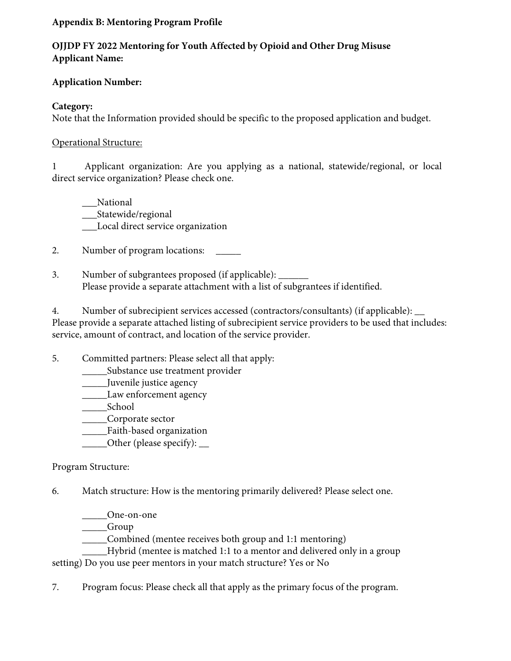# **Appendix B: Mentoring Program Profile**

# **OJJDP FY 2022 Mentoring for Youth Affected by Opioid and Other Drug Misuse Applicant Name:**

# **Application Number:**

# **Category:**

Note that the Information provided should be specific to the proposed application and budget.

# Operational Structure:

1 Applicant organization: Are you applying as a national, statewide/regional, or local direct service organization? Please check one.

\_\_\_National \_\_\_Statewide/regional \_\_\_Local direct service organization

2. Number of program locations:

3. Number of subgrantees proposed (if applicable): \_\_\_\_\_\_ Please provide a separate attachment with a list of subgrantees if identified.

 4. Number of subrecipient services accessed (contractors/consultants) (if applicable): \_\_ Please provide a separate attached listing of subrecipient service providers to be used that includes: service, amount of contract, and location of the service provider.

5. Committed partners: Please select all that apply:

\_\_\_\_\_Substance use treatment provider

\_\_\_\_\_Juvenile justice agency

\_\_\_\_\_Law enforcement agency

\_\_\_\_\_School

\_\_\_\_\_Corporate sector

\_\_\_\_\_Faith-based organization

\_\_\_\_\_Other (please specify): \_\_

# Program Structure:

6. Match structure: How is the mentoring primarily delivered? Please select one.

\_\_\_\_\_One-on-one

\_\_\_\_\_Group

\_\_\_\_\_Combined (mentee receives both group and 1:1 mentoring)

\_\_\_\_\_Hybrid (mentee is matched 1:1 to a mentor and delivered only in a group

setting) Do you use peer mentors in your match structure? Yes or No

7. Program focus: Please check all that apply as the primary focus of the program.